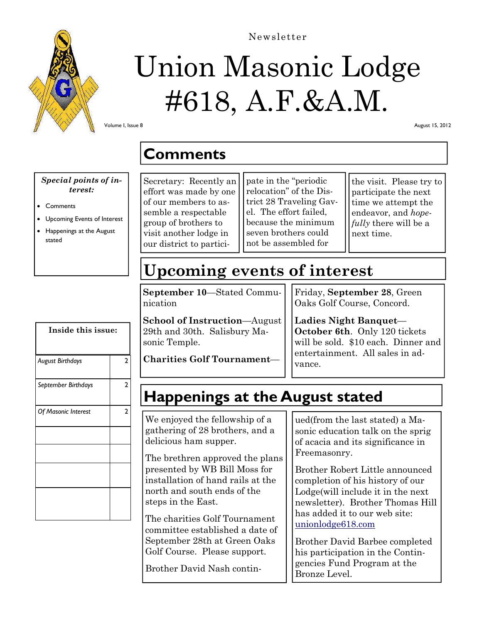

# Union Masonic Lodge #618, A.F.&A.M.

Newsletter

Volume I, Issue 8

August 15, 2012

#### **Comments**

*Special points of interest:* 

- Comments
- Upcoming Events of Interest
- Happenings at the August stated

Secretary: Recently an effort was made by one of our members to assemble a respectable group of brothers to visit another lodge in our district to partici-

pate in the "periodic relocation" of the District 28 Traveling Gavel. The effort failed, because the minimum seven brothers could not be assembled for

the visit. Please try to participate the next time we attempt the endeavor, and *hopefully* there will be a next time.

## **Upcoming events of interest**

**September 10**—Stated Communication

**School of Instruction**—August 29th and 30th. Salisbury Masonic Temple.

Friday, **September 28**, Green Oaks Golf Course, Concord.

**Ladies Night Banquet**— **October 6th**. Only 120 tickets will be sold. \$10 each. Dinner and entertainment. All sales in advance.

**Charities Golf Tournament**—

### **Happenings at the August stated**

We enjoyed the fellowship of a gathering of 28 brothers, and a delicious ham supper.

The brethren approved the plans presented by WB Bill Moss for installation of hand rails at the north and south ends of the steps in the East.

The charities Golf Tournament committee established a date of September 28th at Green Oaks Golf Course. Please support.

Brother David Nash contin-

ued(from the last stated) a Masonic education talk on the sprig of acacia and its significance in Freemasonry.

Brother Robert Little announced completion of his history of our Lodge(will include it in the next newsletter). Brother Thomas Hill has added it to our web site: unionlodge618.com

Brother David Barbee completed his participation in the Contingencies Fund Program at the Bronze Level.

| Inside this issue:      |   |  |
|-------------------------|---|--|
| <b>August Birthdays</b> | 2 |  |
| September Birthdays     | 2 |  |
| Of Masonic Interest     | 2 |  |
|                         |   |  |
|                         |   |  |
|                         |   |  |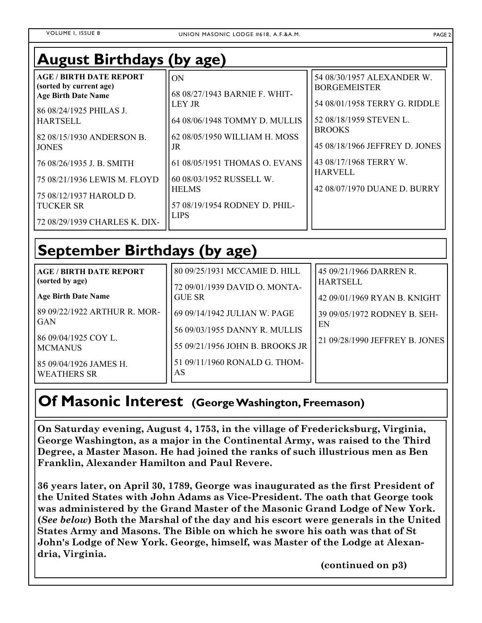### **August Birthdays (by age)**

| <b>AGE / BIRTH DATE REPORT</b><br>(sorted by current age)<br><b>Age Birth Date Name</b>                                                   | ON<br>68 08/27/1943 BARNIE F. WHIT-                                                                                       | 54 08/30/1957 ALEXANDER W.<br><b>BORGEMEISTER</b>                                                           |
|-------------------------------------------------------------------------------------------------------------------------------------------|---------------------------------------------------------------------------------------------------------------------------|-------------------------------------------------------------------------------------------------------------|
| 86 08/24/1925 PHILAS J.<br><b>HARTSELL</b><br>82 08/15/1930 ANDERSON B.<br><b>JONES</b>                                                   | <b>LEY JR</b><br>64 08/06/1948 TOMMY D. MULLIS<br>62 08/05/1950 WILLIAM H. MOSS<br>JR                                     | 54 08/01/1958 TERRY G. RIDDLE<br>52 08/18/1959 STEVEN L.<br><b>BROOKS</b><br>45 08/18/1966 JEFFREY D. JONES |
| 76 08/26/1935 J. B. SMITH<br>75 08/21/1936 LEWIS M. FLOYD<br>75 08/12/1937 HAROLD D.<br><b>TUCKER SR</b><br>72 08/29/1939 CHARLES K. DIX- | 61 08/05/1951 THOMAS O. EVANS<br>60 08/03/1952 RUSSELL W.<br><b>HELMS</b><br>57 08/19/1954 RODNEY D. PHIL-<br><b>LIPS</b> | 43 08/17/1968 TERRY W.<br><b>HARVELL</b><br>42 08/07/1970 DUANE D. BURRY                                    |

## **September Birthdays (by age)**

| <b>AGE / BIRTH DATE REPORT</b>                                                                                                       | 80 09/25/1931 MCCAMIE D. HILL                                                                                                           | 45 09/21/1966 DARREN R.                                              |
|--------------------------------------------------------------------------------------------------------------------------------------|-----------------------------------------------------------------------------------------------------------------------------------------|----------------------------------------------------------------------|
| (sorted by age)                                                                                                                      | 72 09/01/1939 DAVID O. MONTA-                                                                                                           | <b>HARTSELL</b>                                                      |
| <b>Age Birth Date Name</b>                                                                                                           | <b>GUE SR</b>                                                                                                                           | 42 09/01/1969 RYAN B. KNIGHT                                         |
| 89 09/22/1922 ARTHUR R. MOR-<br><b>GAN</b><br>86 09/04/1925 COY L.<br><b>MCMANUS</b><br>85 09/04/1926 JAMES H.<br><b>WEATHERS SR</b> | 69 09/14/1942 JULIAN W. PAGE<br>56 09/03/1955 DANNY R. MULLIS<br>55 09/21/1956 JOHN B. BROOKS JR<br>51 09/11/1960 RONALD G. THOM-<br>AS | 39 09/05/1972 RODNEY B. SEH-<br>EN<br>21 09/28/1990 JEFFREY B. JONES |

#### **Of Masonic Interest (George Washington, Freemason)**

**On Saturday evening, August 4, 1753, in the village of Fredericksburg, Virginia, George Washington, as a major in the Continental Army, was raised to the Third Degree, a Master Mason. He had joined the ranks of such illustrious men as Ben Franklin, Alexander Hamilton and Paul Revere.** 

**36 years later, on April 30, 1789, George was inaugurated as the first President of the United States with John Adams as Vice-President. The oath that George took was administered by the Grand Master of the Masonic Grand Lodge of New York. (***See below***) Both the Marshal of the day and his escort were generals in the United States Army and Masons. The Bible on which he swore his oath was that of St John's Lodge of New York. George, himself, was Master of the Lodge at Alexandria, Virginia.** 

 **(continued on p3)**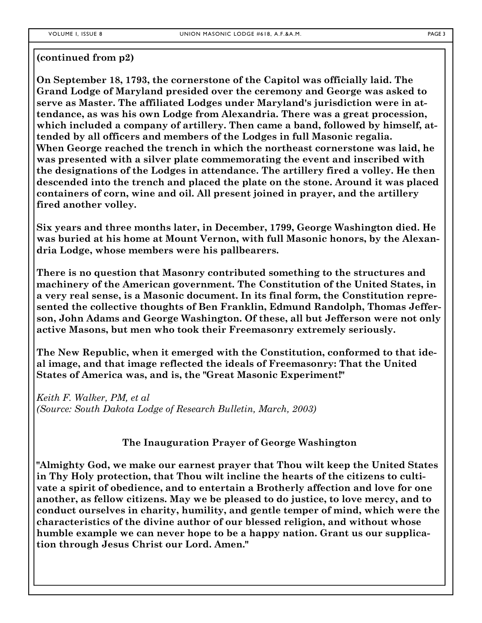**(continued from p2)** 

**On September 18, 1793, the cornerstone of the Capitol was officially laid. The Grand Lodge of Maryland presided over the ceremony and George was asked to serve as Master. The affiliated Lodges under Maryland's jurisdiction were in attendance, as was his own Lodge from Alexandria. There was a great procession, which included a company of artillery. Then came a band, followed by himself, attended by all officers and members of the Lodges in full Masonic regalia. When George reached the trench in which the northeast cornerstone was laid, he was presented with a silver plate commemorating the event and inscribed with the designations of the Lodges in attendance. The artillery fired a volley. He then descended into the trench and placed the plate on the stone. Around it was placed containers of corn, wine and oil. All present joined in prayer, and the artillery fired another volley.** 

**Six years and three months later, in December, 1799, George Washington died. He was buried at his home at Mount Vernon, with full Masonic honors, by the Alexandria Lodge, whose members were his pallbearers.** 

**There is no question that Masonry contributed something to the structures and machinery of the American government. The Constitution of the United States, in a very real sense, is a Masonic document. In its final form, the Constitution represented the collective thoughts of Ben Franklin, Edmund Randolph, Thomas Jefferson, John Adams and George Washington. Of these, all but Jefferson were not only active Masons, but men who took their Freemasonry extremely seriously.** 

**The New Republic, when it emerged with the Constitution, conformed to that ideal image, and that image reflected the ideals of Freemasonry: That the United States of America was, and is, the "Great Masonic Experiment!"** 

*Keith F. Walker, PM, et al (Source: South Dakota Lodge of Research Bulletin, March, 2003)*

#### **The Inauguration Prayer of George Washington**

**"Almighty God, we make our earnest prayer that Thou wilt keep the United States in Thy Holy protection, that Thou wilt incline the hearts of the citizens to cultivate a spirit of obedience, and to entertain a Brotherly affection and love for one another, as fellow citizens. May we be pleased to do justice, to love mercy, and to conduct ourselves in charity, humility, and gentle temper of mind, which were the characteristics of the divine author of our blessed religion, and without whose humble example we can never hope to be a happy nation. Grant us our supplication through Jesus Christ our Lord. Amen."**